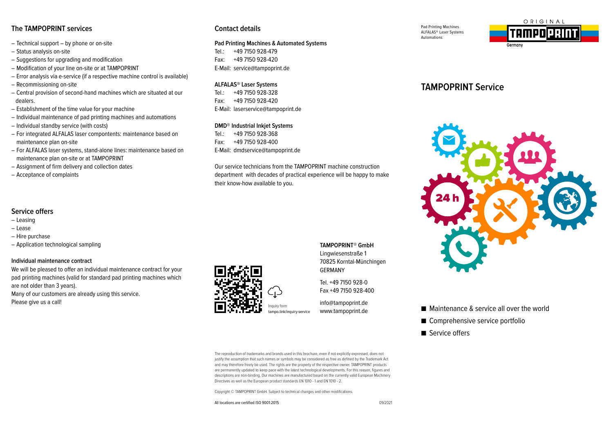## **The TAMPOPRINT services Contact details**

- Technical support by phone or on-site
- Status analysis on-site
- Suggestions for upgrading and modification
- Modification of your line on-site or at TAMPOPRINT
- Error analysis via e-service (if a respective machine control is available)
- Recommissioning on-site
- Central provision of second-hand machines which are situated at our dealers.
- Establishment of the time value for your machine
- Individual maintenance of pad printing machines and automations
- Individual standby service (with costs)
- For integrated ALFALAS laser compontents: maintenance based on maintenance plan on-site
- For ALFALAS laser systems, stand-alone lines: maintenance based on maintenance plan on-site or at TAMPOPRINT

We will be pleased to offer an individual maintenance contract for your pad printing machines (valid for standard pad printing machines which

Many of our customers are already using this service.

- Assignment of firm delivery and collection dates
- Acceptance of complaints

– Application technological sampling

**Individual maintenance contract**

are not older than 3 years).

Please give us a call!

**Service offers** – Leasing – Lease – Hire purchase

### **Pad Printing Machines & Automated Systems**

Tel.: +49 7150 928-479 Fax: +49 7150 928-420 E-Mail: service@tampoprint.de

### **ALFALAS® Laser Systems**

Tel.: +49 7150 928-328 Fax: +49 7150 928-420 E-Mail: laserservice@tampoprint.de

### **DMD® Industrial Inkjet Systems**

Tel.: +49 7150 928-368 Fax: +49 7150 928-400 E-Mail: dmdservice@tampoprint.de

Our service technicians from the TAMPOPRINT machine construction department with decades of practical experience will be happy to make their know-how available to you.

Inquiry form

**TAMPOPRINT® GmbH**  Lingwiesenstraße 1 70825 Korntal-Münchingen GERMANY

Tel. +49 7150 928-0 Fax +49 7150 928-400

info@tampoprint.de tampo.link/inquiry-service www.tampoprint.de

The reproduction of trademarks and brands used in this brochure, even if not explicitly expressed, does not justify the assumption that such names or symbols may be considered as free as defined by the Trademark Act and may therefore freely be used. The rights are the property of the respective owner. TAMPOPRINT products are permanently updated to keep pace with the latest technological developments. For this reason, figures and descriptions are non-binding. Our machines are manufactured based on the currently valid European Machinery Directives as well as the European product standards EN 1010 - 1 and EN 1010 - 2.

Copyright © TAMPOPRINT GmbH. Subject to technical changes and other modifications.

All locations are certified ISO 9001:2015





# **TAMPOPRINT Service**



- Maintenance & service all over the world
- Comprehensive service portfolio
- Service offers